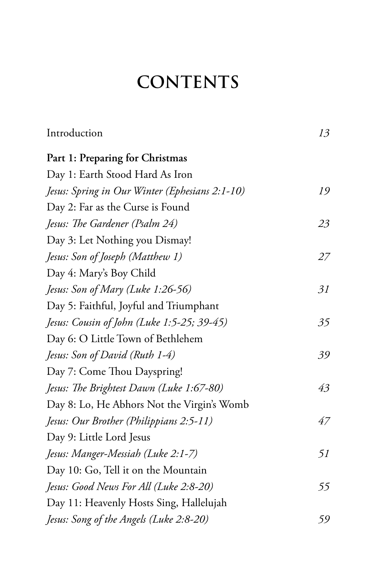## **CONTENTS**

| Introduction                                   | 13 |
|------------------------------------------------|----|
| Part 1: Preparing for Christmas                |    |
| Day 1: Earth Stood Hard As Iron                |    |
| Jesus: Spring in Our Winter (Ephesians 2:1-10) | 19 |
| Day 2: Far as the Curse is Found               |    |
| Jesus: The Gardener (Psalm 24)                 | 23 |
| Day 3: Let Nothing you Dismay!                 |    |
| Jesus: Son of Joseph (Matthew 1)               | 27 |
| Day 4: Mary's Boy Child                        |    |
| Jesus: Son of Mary (Luke 1:26-56)              | 31 |
| Day 5: Faithful, Joyful and Triumphant         |    |
| Jesus: Cousin of John (Luke 1:5-25; 39-45)     | 35 |
| Day 6: O Little Town of Bethlehem              |    |
| Jesus: Son of David (Ruth 1-4)                 | 39 |
| Day 7: Come Thou Dayspring!                    |    |
| Jesus: The Brightest Dawn (Luke 1:67-80)       | 43 |
| Day 8: Lo, He Abhors Not the Virgin's Womb     |    |
| Jesus: Our Brother (Philippians 2:5-11)        | 47 |
| Day 9: Little Lord Jesus                       |    |
| Jesus: Manger-Messiah (Luke 2:1-7)             | 51 |
| Day 10: Go, Tell it on the Mountain            |    |
| Jesus: Good News For All (Luke 2:8-20)         | 55 |
| Day 11: Heavenly Hosts Sing, Hallelujah        |    |
| Jesus: Song of the Angels (Luke 2:8-20)        | 59 |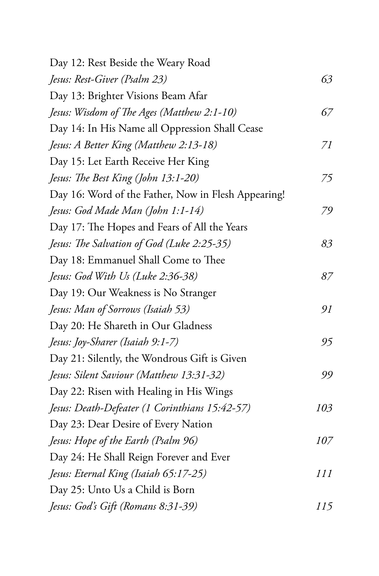| Day 12: Rest Beside the Weary Road                  |     |
|-----------------------------------------------------|-----|
| Jesus: Rest-Giver (Psalm 23)                        | 63  |
| Day 13: Brighter Visions Beam Afar                  |     |
| Jesus: Wisdom of The Ages (Matthew 2:1-10)          | 67  |
| Day 14: In His Name all Oppression Shall Cease      |     |
| Jesus: A Better King (Matthew 2:13-18)              | 71  |
| Day 15: Let Earth Receive Her King                  |     |
| Jesus: The Best King (John 13:1-20)                 | 75  |
| Day 16: Word of the Father, Now in Flesh Appearing! |     |
| Jesus: God Made Man (John 1:1-14)                   | 79  |
| Day 17: The Hopes and Fears of All the Years        |     |
| Jesus: The Salvation of God (Luke 2:25-35)          | 83  |
| Day 18: Emmanuel Shall Come to Thee                 |     |
| Jesus: God With Us (Luke 2:36-38)                   | 87  |
| Day 19: Our Weakness is No Stranger                 |     |
| Jesus: Man of Sorrows (Isaiah 53)                   | 91  |
| Day 20: He Shareth in Our Gladness                  |     |
| Jesus: Joy-Sharer (Isaiah 9:1-7)                    | 95  |
| Day 21: Silently, the Wondrous Gift is Given        |     |
| Jesus: Silent Saviour (Matthew 13:31-32)            | 99  |
| Day 22: Risen with Healing in His Wings             |     |
| Jesus: Death-Defeater (1 Corinthians 15:42-57)      | 103 |
| Day 23: Dear Desire of Every Nation                 |     |
| Jesus: Hope of the Earth (Psalm 96)                 | 107 |
| Day 24: He Shall Reign Forever and Ever             |     |
| Jesus: Eternal King (Isaiah 65:17-25)               | 111 |
| Day 25: Unto Us a Child is Born                     |     |
| Jesus: God's Gift (Romans 8:31-39)                  | 115 |